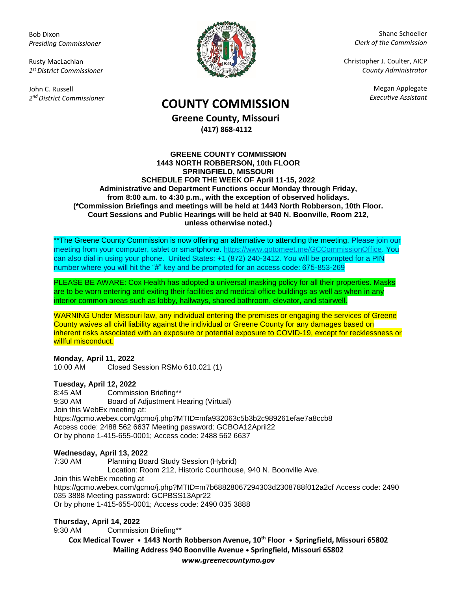Bob Dixon *Presiding Commissioner*

Rusty MacLachlan *1 st District Commissioner*

John C. Russell *2 nd District Commissioner*



Shane Schoeller *Clerk of the Commission*

Christopher J. Coulter, AICP *County Administrator*

Megan Applegate

# *Executive Assistant* **COUNTY COMMISSION**

**Greene County, Missouri (417) 868-4112**

#### **GREENE COUNTY COMMISSION 1443 NORTH ROBBERSON, 10th FLOOR SPRINGFIELD, MISSOURI SCHEDULE FOR THE WEEK OF April 11-15, 2022 Administrative and Department Functions occur Monday through Friday, from 8:00 a.m. to 4:30 p.m., with the exception of observed holidays. (\*Commission Briefings and meetings will be held at 1443 North Robberson, 10th Floor. Court Sessions and Public Hearings will be held at 940 N. Boonville, Room 212, unless otherwise noted.)**

\*\*The Greene County Commission is now offering an alternative to attending the meeting. Please join our meeting from your computer, tablet or smartphone. [https://www.gotomeet.me/GCCommissionOffice.](https://www.gotomeet.me/GCCommissionOffice) You can also dial in using your phone. United States: +1 (872) 240-3412. You will be prompted for a PIN number where you will hit the "#" key and be prompted for an access code: 675-853-269

PLEASE BE AWARE: Cox Health has adopted a universal masking policy for all their properties. Masks are to be worn entering and exiting their facilities and medical office buildings as well as when in any interior common areas such as lobby, hallways, shared bathroom, elevator, and stairwell.

WARNING Under Missouri law, any individual entering the premises or engaging the services of Greene County waives all civil liability against the individual or Greene County for any damages based on inherent risks associated with an exposure or potential exposure to COVID-19, except for recklessness or willful misconduct.

# **Monday, April 11, 2022**

10:00 AM Closed Session RSMo 610.021 (1)

# **Tuesday, April 12, 2022**

8:45 AM Commission Briefing\*\* 9:30 AM Board of Adjustment Hearing (Virtual) Join this WebEx meeting at: https://gcmo.webex.com/gcmo/j.php?MTID=mfa932063c5b3b2c989261efae7a8ccb8 Access code: 2488 562 6637 Meeting password: GCBOA12April22 Or by phone 1-415-655-0001; Access code: 2488 562 6637

#### **Wednesday, April 13, 2022**

7:30 AM Planning Board Study Session (Hybrid)

Location: Room 212, Historic Courthouse, 940 N. Boonville Ave.

Join this WebEx meeting at

<https://gcmo.webex.com/gcmo/j.php?MTID=m7b68828067294303d2308788f012a2cf> Access code: 2490 035 3888 Meeting password: GCPBSS13Apr22 Or by phone 1-415-655-0001; Access code: 2490 035 3888

# **Thursday, April 14, 2022**

9:30 AM Commission Briefing\*\*

**Cox Medical Tower • 1443 North Robberson Avenue, 10th Floor • Springfield, Missouri 65802 Mailing Address 940 Boonville Avenue • Springfield, Missouri 65802** *www.greenecountymo.gov*